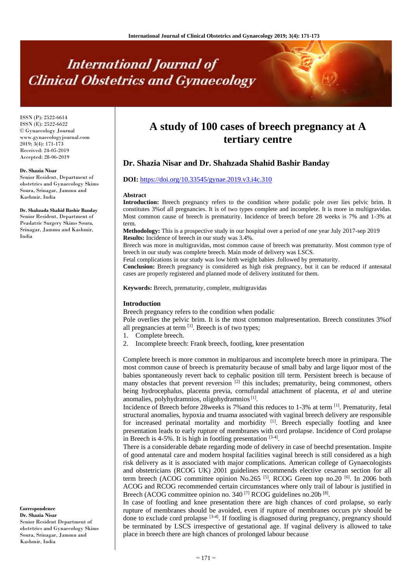# **International Journal of Clinical Obstetrics and Gynaecology**

ISSN (P): 2522-6614 ISSN (E): 2522-6622 © Gynaecology Journal www.gynaecologyjournal.com 2019; 3(4): 171-173 Received: 24-05-2019 Accepted: 28-06-2019

#### **Dr. Shazia Nisar**

Senior Resident, Department of obstetrics and Gynaecology Skims Soura, Srinagar, Jammu and Kashmir, India

#### **Dr. Shahzada Shahid Bashir Banday**

Senior Resident, Department of Peadatric Surgery Skims Soura, Srinagar, Jammu and Kashmir, India

#### **Correspondence Dr. Shazia Nisar**

Senior Resident Department of obstetrics and Gynaecology Skims Soura, Srinagar, Jammu and Kashmir, India

# **A study of 100 cases of breech pregnancy at A tertiary centre**

# **Dr. Shazia Nisar and Dr. Shahzada Shahid Bashir Banday**

# **DOI:** <https://doi.org/10.33545/gynae.2019.v3.i4c.310>

#### **Abstract**

Introduction: Breech pregnancy refers to the condition where podalic pole over lies pelvic brim. It constitutes 3%of all pregnancies. It is of two types complete and incomplete. It is more in multigravidas. Most common cause of breech is prematurity. Incidence of breech before 28 weeks is 7% and 1-3% at term.

**Methodology:** This is a prospective study in our hospital over a period of one year July 2017-sep 2019 **Results:** Incidence of breech in our study was 3.4%.

Breech was more in multigravidas, most common cause of breech was prematurity. Most common type of breech in our study was complete breech. Main mode of delivery was LSCS.

Fetal complications in our study was low birth weight babies .followed by prematurity.

**Conclusion:** Breech pregnancy is considered as high risk pregnancy, but it can be reduced if antenatal cases are properly registered and planned mode of delivery instituted for them.

**Keywords:** Breech, prematurity, complete, multigravidas

#### **Introduction**

Breech pregnancy refers to the condition when podalic

Pole overlies the pelvic brim. It is the most common malpresentation. Breech constitutes 3%of all pregnancies at term [1]. Breech is of two types;

- 1. Complete breech.
- 2. Incomplete breech: Frank breech, footling, knee presentation

Complete breech is more common in multiparous and incomplete breech more in primipara. The most common cause of breech is prematurity because of small baby and large liquor most of the babies spontaneously revert back to cephalic position till term. Persistent breech is because of many obstacles that prevent reversion  $[2]$  this includes; prematurity, being commonest, others being hydrocephalus, placenta previa, cornufundal attachment of placenta, *et al* and uterine anomalies, polyhydramnios, oligohydramnios<sup>[1]</sup>.

Incidence of Breech before 28weeks is 7%and this reduces to 1-3% at term [1]. Prematurity, fetal structural anomalies, hypoxia and truama associated with vaginal breech delivery are responsible for increased perinatal mortality and morbidity  $[1]$ . Breech especially footling and knee presentation leads to early rupture of membranes with cord prolapse. Incidence of Cord prolapse in Breech is 4-5%. It is high in footling presentation  $[3-4]$ .

There is a considerable debate regarding mode of delivery in case of beechd presentation. Inspite of good antenatal care and modern hospital facilities vaginal breech is still considered as a high risk delivery as it is associated with major complications. American college of Gynaecologists and obstetricians (RCOG UK) 2001 guidelines recommends elective cesarean section for all term breech (ACOG committee opinion No.265<sup>[5]</sup>, RCOG Green top no.20<sup>[6]</sup>. In 2006 both ACOG and RCOG recommended certain circumstances where only trail of labour is justified in Breech (ACOG committee opinion no. 340<sup>[7]</sup> RCOG guidelines no.20b<sup>[8]</sup>.

In case of footling and knee presentation there are high chances of cord prolapse, so early rupture of membranes should be avoided, even if rupture of membranes occurs p/v should be done to exclude cord prolapse  $[3-4]$ . If footling is diagnosed during pregnancy, pregnancy should be terminated by LSCS irrespective of gestational age. If vaginal delivery is allowed to take place in breech there are high chances of prolonged labour because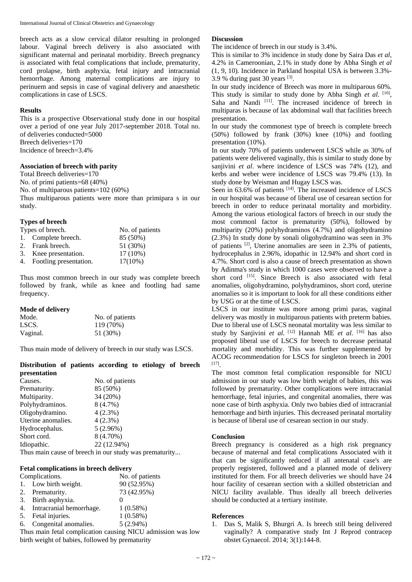breech acts as a slow cervical dilator resulting in prolonged labour. Vaginal breech delivery is also associated with significant maternal and perinatal morbidity. Breech pregnancy is associated with fetal complications that include, prematurity, cord prolapse, birth asphyxia, fetal injury and intracranial hemorrhage. Among maternal complications are injury to perinuem and sepsis in case of vaginal delivery and anaesthetic complications in case of LSCS.

# **Results**

This is a prospective Observational study done in our hospital over a period of one year July 2017-september 2018. Total no. of deliveries conducted=5000 Breech deliveries=170 Incidence of breech=3.4%

#### **Association of breech with parity**

Total Breech deliveries=170 No. of primi patients=68 (40%) No. of multiparous patients=102 (60%) Thus multiparous patients were more than primipara s in our study.

#### **Types of breech**

| Types of breech. |                           | No. of patients |
|------------------|---------------------------|-----------------|
|                  | 1. Complete breech.       | 85 (50%)        |
|                  | 2. Frank breech.          | 51 (30%)        |
|                  | 3. Knee presentation.     | $17(10\%)$      |
|                  | 4. Footling presentation. | $17(10\%)$      |

Thus most common breech in our study was complete breech followed by frank, while as knee and footling had same frequency.

### **Mode of delivery**

| Mode.    | No. of patients |
|----------|-----------------|
| LSCS.    | 119 (70%)       |
| Vaginal. | 51 (30%)        |

Thus main mode of delivery of breech in our study was LSCS.

#### **Distribution of patients according to etiology of breech presentation**

| Causes.            | No. of patients |  |
|--------------------|-----------------|--|
| Prematurity.       | 85 (50%)        |  |
| Multiparity.       | 34 (20%)        |  |
| Polyhydraminos.    | $8(4.7\%)$      |  |
| Oligohydramino.    | $4(2.3\%)$      |  |
| Uterine anomalies. | $4(2.3\%)$      |  |
| Hydrocephalus.     | 5(2.96%)        |  |
| Short cord.        | 8 (4.70%)       |  |
| Idiopathic.        | 22 (12.94%)     |  |
|                    |                 |  |

Thus main cause of breech in our study was prematurity...

#### **Fetal complications in breech delivery**

| Complications. |                          | No. of patients |
|----------------|--------------------------|-----------------|
|                | 1. Low birth weight.     | 90 (52.95%)     |
|                | 2. Prematurity.          | 73 (42.95%)     |
| 3.             | Birth asphyxia.          |                 |
| 4.             | Intracranial hemorrhage. | 1(0.58%)        |
| 5.             | Fetal injuries.          | 1(0.58%)        |
| 6.             | Congenital anomalies.    | $5(2.94\%)$     |

Thus main fetal complication causing NICU admission was low birth weight of babies, followed by prematurity

#### **Discussion**

The incidence of breech in our study is 3.4%.

This is similar to 3% incidence in study done by Saira Das *et al*, 4.2% in Cameroonian, 2.1% in study done by Abha Singh *et al* (1, 9, 10). Incidence in Parkland hospital USA is between 3.3%- 3.9 % during past 30 years [3] .

In our study incidence of Breech was more in multiparous 60%. This study is similar to study done by Abha Singh *et al.* [10], Saha and Nandi [11]. The increased incidence of breech in multiparas is because of lax abdominal wall that facilities breech presentation.

In our study the commonest type of breech is complete breech (50%) followed by frank (30%) knee (10%) and footling presentation (10%).

In our study 70% of patients underwent LSCS while as 30% of patients were delivered vaginally, this is similar to study done by sanjivini *et al*. where incidence of LSCS was 74% (12), and kerbs and weber were incidence of LSCS was 79.4% (13). In study done by Weisman and Hugay LSCS was.

Seen in 63.6% of patients <sup>[14]</sup>. The increased incidence of LSCS in our hospital was because of liberal use of cesarean section for breech in order to reduce perinatal mortality and morbidity. Among the various etiological factors of breech in our study the most commonl factor is prematurity (50%), followed by multiparity (20%) polyhydraminos (4.7%) and oligohydramino (2.3%) In study done by sonali oligohydramino was seen in 3% of patients [2], Uterine anomalies are seen in 2.3% of patients, hydrocephalus in 2.96%, idopathic in 12.94% and short cord in 4.7%. Short cord is also a cause of breech presentation as shown by Adinma's study in which 1000 cases were observed to have a short cord <a>[15]</a>. Since Breech is also associated with fetal anomalies, oligohydramino, polyhydraminos, short cord, uterine anomalies so it is important to look for all these conditions either by USG or at the time of LSCS.

LSCS in our institute was more among primi paras, vaginal delivery was mostly in multiparous patients with preterm babies. Due to liberal use of LSCS neonatal mortality was less similar to study by Sanjivini *et al.* [12] Hannah ME *et al*. [16] has also proposed liberal use of LSCS for breech to decrease perinatal mortality and morbidity. This was further supplemented by ACOG recommendation for LSCS for singleton breech in 2001 [17] .

The most common fetal complication responsible for NICU admission in our study was low birth weight of babies, this was followed by prematurity. Other complications were intracranial hemorrhage, fetal injuries, and congenital anomalies, there was none case of birth asphyxia. Only two babies died of intracranial hemorrhage and birth injuries. This decreased perinatal mortality is because of liberal use of cesarean section in our study.

# **Conclusion**

Breech pregnancy is considered as a high risk pregnancy because of maternal and fetal complications Associated with it that can be significantly reduced if all antenatal case's are properly registered, followed and a planned mode of delivery instituted for them. For all breech deliveries we should have 24 hour facility of cesarean section with a skilled obstetrician and NICU facility available. Thus ideally all breech deliveries should be conducted at a tertiary institute.

#### **References**

1. Das S, Malik S, Bhurgri A. Is breech still being delivered vaginally? A comparative study Int J Reprod contracep obstet Gynaecol. 2014; 3(1):144-8.